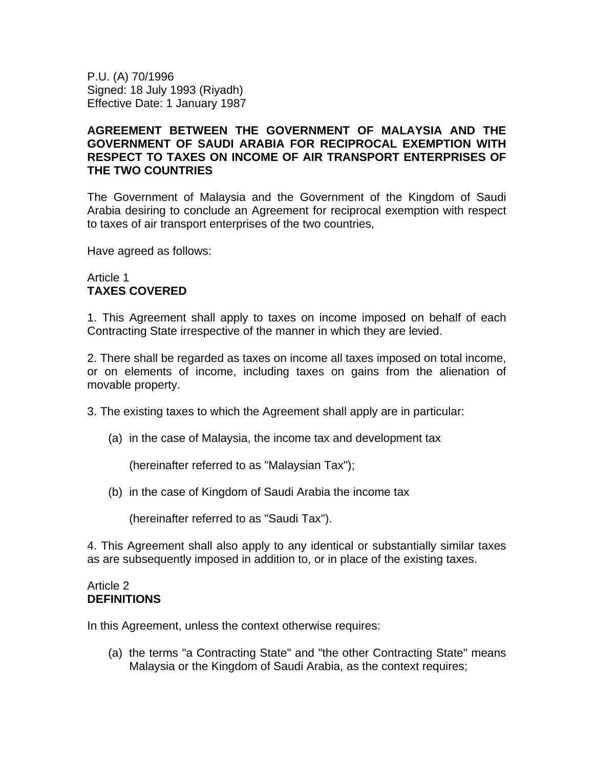P.U. (A) 70/1996 Signed: 18 July 1993 (Riyadh) Effective Date: 1 January 1987

# **AGREEMENT BETWEEN THE GOVERNMENT OF MALAYSIA AND THE GOVERNMENT OF SAUDI ARABIA FOR RECIPROCAL EXEMPTION WITH RESPECT TO TAXES ON INCOME OF AIR TRANSPORT ENTERPRISES OF THE TWO COUNTRIES**

The Government of Malaysia and the Government of the Kingdom of Saudi Arabia desiring to conclude an Agreement for reciprocal exemption with respect to taxes of air transport enterprises of the two countries,

Have agreed as follows:

#### Article 1 **TAXES COVERED**

1. This Agreement shall apply to taxes on income imposed on behalf of each Contracting State irrespective of the manner in which they are levied.

2. There shall be regarded as taxes on income all taxes imposed on total income, or on elements of income, including taxes on gains from the alienation of movable property.

3. The existing taxes to which the Agreement shall apply are in particular:

(a) in the case of Malaysia, the income tax and development tax

(hereinafter referred to as "Malaysian Tax");

(b) in the case of Kingdom of Saudi Arabia the income tax

(hereinafter referred to as "Saudi Tax").

4. This Agreement shall also apply to any identical or substantially similar taxes as are subsequently imposed in addition to, or in place of the existing taxes.

#### Article 2 **DEFINITIONS**

In this Agreement, unless the context otherwise requires:

(a) the terms "a Contracting State" and "the other Contracting State" means Malaysia or the Kingdom of Saudi Arabia, as the context requires;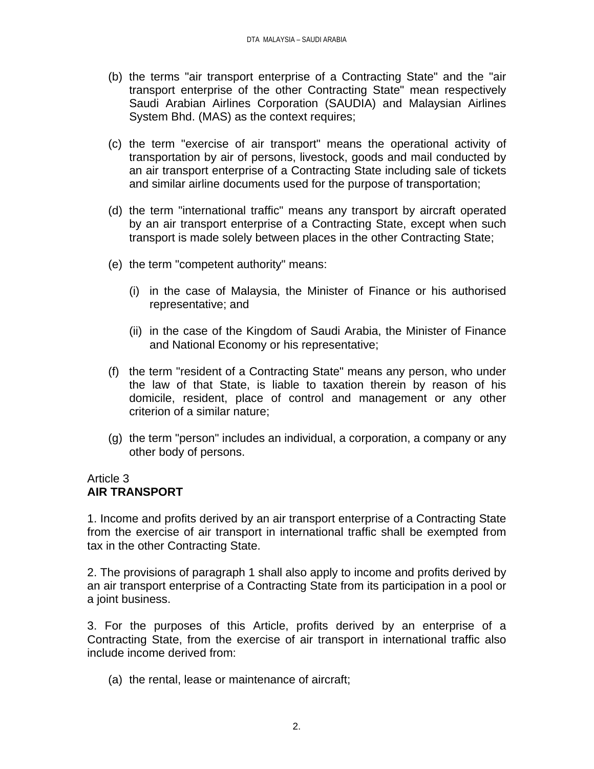- (b) the terms "air transport enterprise of a Contracting State" and the "air transport enterprise of the other Contracting State" mean respectively Saudi Arabian Airlines Corporation (SAUDIA) and Malaysian Airlines System Bhd. (MAS) as the context requires;
- (c) the term "exercise of air transport" means the operational activity of transportation by air of persons, livestock, goods and mail conducted by an air transport enterprise of a Contracting State including sale of tickets and similar airline documents used for the purpose of transportation;
- (d) the term "international traffic" means any transport by aircraft operated by an air transport enterprise of a Contracting State, except when such transport is made solely between places in the other Contracting State;
- (e) the term "competent authority" means:
	- (i) in the case of Malaysia, the Minister of Finance or his authorised representative; and
	- (ii) in the case of the Kingdom of Saudi Arabia, the Minister of Finance and National Economy or his representative;
- (f) the term "resident of a Contracting State" means any person, who under the law of that State, is liable to taxation therein by reason of his domicile, resident, place of control and management or any other criterion of a similar nature;
- (g) the term "person" includes an individual, a corporation, a company or any other body of persons.

# Article 3 **AIR TRANSPORT**

1. Income and profits derived by an air transport enterprise of a Contracting State from the exercise of air transport in international traffic shall be exempted from tax in the other Contracting State.

2. The provisions of paragraph 1 shall also apply to income and profits derived by an air transport enterprise of a Contracting State from its participation in a pool or a joint business.

3. For the purposes of this Article, profits derived by an enterprise of a Contracting State, from the exercise of air transport in international traffic also include income derived from:

(a) the rental, lease or maintenance of aircraft;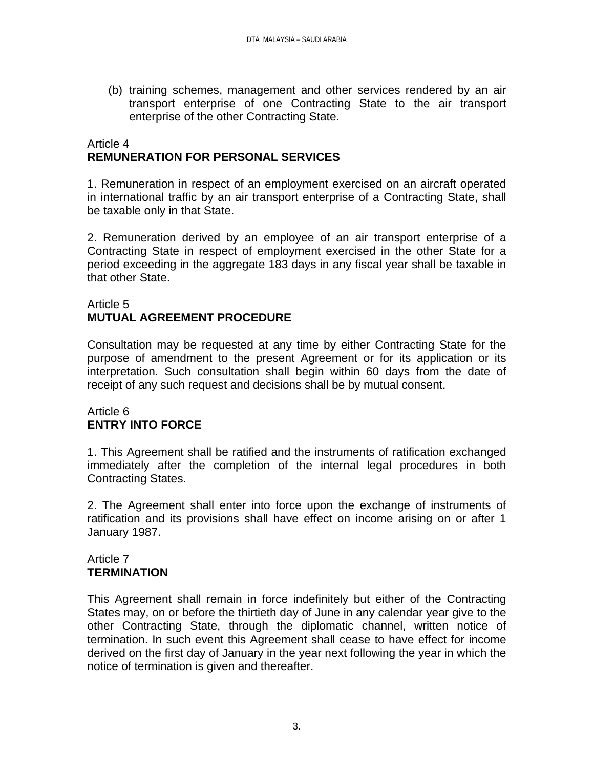(b) training schemes, management and other services rendered by an air transport enterprise of one Contracting State to the air transport enterprise of the other Contracting State.

# Article 4 **REMUNERATION FOR PERSONAL SERVICES**

1. Remuneration in respect of an employment exercised on an aircraft operated in international traffic by an air transport enterprise of a Contracting State, shall be taxable only in that State.

2. Remuneration derived by an employee of an air transport enterprise of a Contracting State in respect of employment exercised in the other State for a period exceeding in the aggregate 183 days in any fiscal year shall be taxable in that other State.

# Article 5 **MUTUAL AGREEMENT PROCEDURE**

Consultation may be requested at any time by either Contracting State for the purpose of amendment to the present Agreement or for its application or its interpretation. Such consultation shall begin within 60 days from the date of receipt of any such request and decisions shall be by mutual consent.

# Article 6 **ENTRY INTO FORCE**

1. This Agreement shall be ratified and the instruments of ratification exchanged immediately after the completion of the internal legal procedures in both Contracting States.

2. The Agreement shall enter into force upon the exchange of instruments of ratification and its provisions shall have effect on income arising on or after 1 January 1987.

# Article 7 **TERMINATION**

This Agreement shall remain in force indefinitely but either of the Contracting States may, on or before the thirtieth day of June in any calendar year give to the other Contracting State, through the diplomatic channel, written notice of termination. In such event this Agreement shall cease to have effect for income derived on the first day of January in the year next following the year in which the notice of termination is given and thereafter.